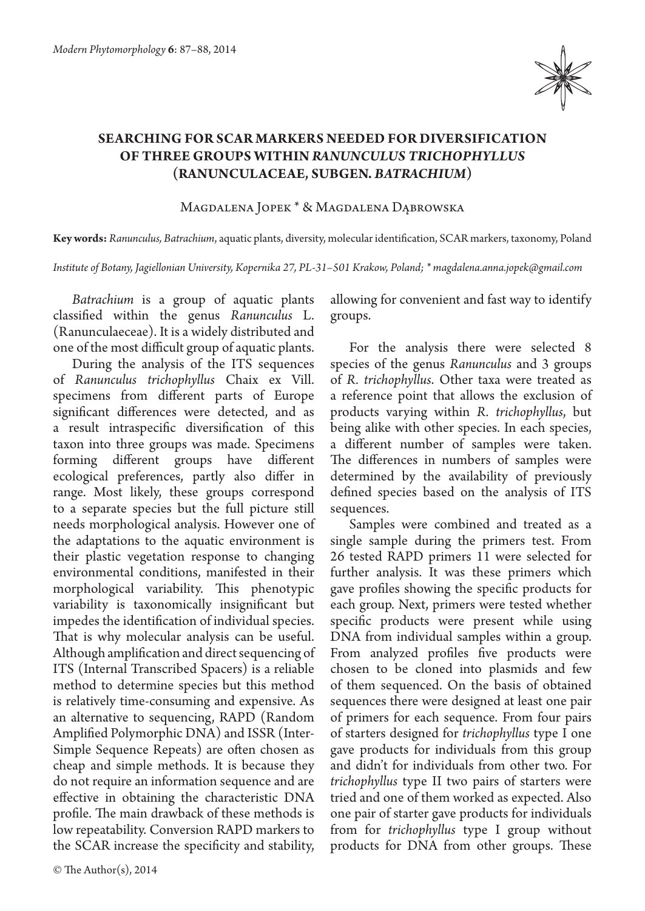

## **SEARCHING FOR SCAR MARKERS NEEDED FOR DIVERSIFICATION OF THREE GROUPS WITHIN** *RANUNCULUS TRICHOPHYLLUS*  **(RANUNCULACEAE, SUBGEN.** *BATRACHIUM***)**

Magdalena Jopek \* & Magdalena Dąbrowska

**Key words:** *Ranunculus, Batrachium*, aquatic plants, diversity, molecular identification, SCAR markers, taxonomy, Poland

*Institute of Botany, Jagiellonian University, Kopernika 27, PL-31–501 Krakow, Poland; \* magdalena.anna.jopek@gmail.com*

*Batrachium* is a group of aquatic plants classified within the genus *Ranunculus* L. (Ranunculaeceae). It is a widely distributed and one of the most difficult group of aquatic plants.

During the analysis of the ITS sequences of *Ranunculus trichophyllus* Chaix ex Vill. specimens from different parts of Europe significant differences were detected, and as a result intraspecific diversification of this taxon into three groups was made. Specimens forming different groups have different ecological preferences, partly also differ in range. Most likely, these groups correspond to a separate species but the full picture still needs morphological analysis. However one of the adaptations to the aquatic environment is their plastic vegetation response to changing environmental conditions, manifested in their morphological variability. This phenotypic variability is taxonomically insignificant but impedes the identification of individual species. That is why molecular analysis can be useful. Although amplification and direct sequencing of ITS (Internal Transcribed Spacers) is a reliable method to determine species but this method is relatively time-consuming and expensive. As an alternative to sequencing, RAPD (Random Amplified Polymorphic DNA) and ISSR (Inter-Simple Sequence Repeats) are often chosen as cheap and simple methods. It is because they do not require an information sequence and are effective in obtaining the characteristic DNA profile. The main drawback of these methods is low repeatability. Conversion RAPD markers to the SCAR increase the specificity and stability,

allowing for convenient and fast way to identify groups.

For the analysis there were selected 8 species of the genus *Ranunculus* and 3 groups of *R. trichophyllus*. Other taxa were treated as a reference point that allows the exclusion of products varying within *R. trichophyllus*, but being alike with other species. In each species, a different number of samples were taken. The differences in numbers of samples were determined by the availability of previously defined species based on the analysis of ITS sequences.

Samples were combined and treated as a single sample during the primers test. From 26 tested RAPD primers 11 were selected for further analysis. It was these primers which gave profiles showing the specific products for each group. Next, primers were tested whether specific products were present while using DNA from individual samples within a group. From analyzed profiles five products were chosen to be cloned into plasmids and few of them sequenced. On the basis of obtained sequences there were designed at least one pair of primers for each sequence. From four pairs of starters designed for *trichophyllus* type I one gave products for individuals from this group and didn't for individuals from other two. For *trichophyllus* type II two pairs of starters were tried and one of them worked as expected. Also one pair of starter gave products for individuals from for *trichophyllus* type I group without products for DNA from other groups. These